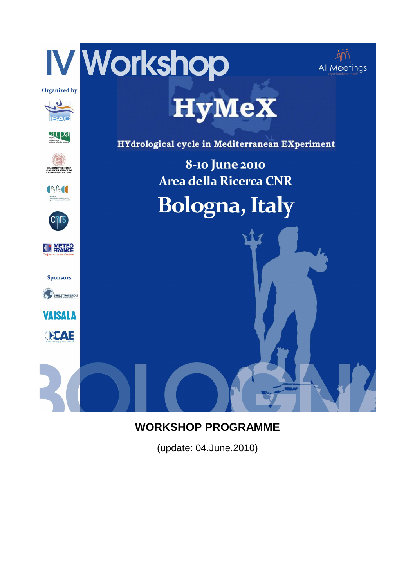

## **WORKSHOP PROGRAMME**

(update: 04.June.2010)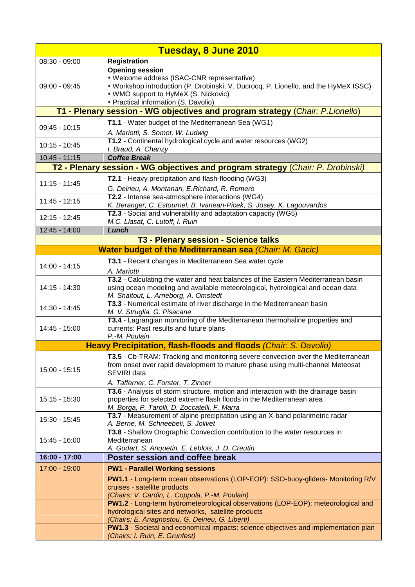| Tuesday, 8 June 2010                                                            |                                                                                                                                                                                                                                                      |  |
|---------------------------------------------------------------------------------|------------------------------------------------------------------------------------------------------------------------------------------------------------------------------------------------------------------------------------------------------|--|
| $08:30 - 09:00$                                                                 | <b>Registration</b>                                                                                                                                                                                                                                  |  |
| $09:00 - 09:45$                                                                 | <b>Opening session</b><br>• Welcome address (ISAC-CNR representative)<br>* Workshop introduction (P. Drobinski, V. Ducrocq, P. Lionello, and the HyMeX ISSC)<br>• WMO support to HyMeX (S. Nickovic)<br>• Practical information (S. Davolio)         |  |
|                                                                                 | T1 - Plenary session - WG objectives and program strategy (Chair: P.Lionello)                                                                                                                                                                        |  |
| 09:45 - 10:15                                                                   | T1.1 - Water budget of the Mediterranean Sea (WG1)<br>A. Mariotti, S. Somot, W. Ludwig                                                                                                                                                               |  |
| $10:15 - 10:45$                                                                 | T1.2 - Continental hydrological cycle and water resources (WG2)<br>I. Braud, A. Chanzy                                                                                                                                                               |  |
| $10:45 - 11:15$                                                                 | <b>Coffee Break</b>                                                                                                                                                                                                                                  |  |
| T2 - Plenary session - WG objectives and program strategy (Chair: P. Drobinski) |                                                                                                                                                                                                                                                      |  |
| $11:15 - 11:45$                                                                 | <b>T2.1</b> - Heavy precipitation and flash-flooding (WG3)<br>G. Delrieu, A. Montanari, E. Richard, R. Romero                                                                                                                                        |  |
| $11:45 - 12:15$                                                                 | T2.2 - Intense sea-atmosphere interactions (WG4)<br>K. Beranger, C. Estournel, B. Ivanean-Picek, S. Josey, K. Lagouvardos                                                                                                                            |  |
| 12:15 - 12:45                                                                   | T2.3 - Social and vulnerability and adaptation capacity (WG5)<br>M.C. Llasat, C. Lutoff, I. Ruin                                                                                                                                                     |  |
| 12:45 - 14:00                                                                   | Lunch                                                                                                                                                                                                                                                |  |
|                                                                                 | T3 - Plenary session - Science talks                                                                                                                                                                                                                 |  |
|                                                                                 | <b>Water budget of the Mediterranean sea (Chair: M. Gacic)</b>                                                                                                                                                                                       |  |
| 14:00 - 14:15                                                                   | T3.1 - Recent changes in Mediterranean Sea water cycle<br>A. Mariotti                                                                                                                                                                                |  |
| 14:15 - 14:30                                                                   | T3.2 - Calculating the water and heat balances of the Eastern Mediterranean basin<br>using ocean modeling and available meteorological, hydrological and ocean data<br>M. Shaltout, L. Arneborg, A. Omstedt                                          |  |
| 14:30 - 14:45                                                                   | T3.3 - Numerical estimate of river discharge in the Mediterranean basin<br>M. V. Struglia, G. Pisacane                                                                                                                                               |  |
| 14:45 - 15:00                                                                   | T3.4 - Lagrangian monitoring of the Mediterranean thermohaline properties and<br>currents: Past results and future plans<br>P.-M. Poulain                                                                                                            |  |
|                                                                                 | Heavy Precipitation, flash-floods and floods (Chair: S. Davolio)                                                                                                                                                                                     |  |
| $15:00 - 15:15$                                                                 | T3.5 - Cb-TRAM: Tracking and monitoring severe convection over the Mediterranean<br>from onset over rapid development to mature phase using multi-channel Meteosat<br>SEVIRI data                                                                    |  |
| $15:15 - 15:30$                                                                 | A. Tafferner, C. Forster, T. Zinner<br>T3.6 - Analysis of storm structure, motion and interaction with the drainage basin<br>properties for selected extreme flash floods in the Mediterranean area<br>M. Borga, P. Tarolli, D. Zoccatelli, F. Marra |  |
| 15:30 - 15:45                                                                   | T3.7 - Measurement of alpine precipitation using an X-band polarimetric radar<br>A. Berne, M. Schneebeli, S. Jolivet                                                                                                                                 |  |
| 15:45 - 16:00                                                                   | T3.8 - Shallow Orographic Convection contribution to the water resources in<br>Mediterranean<br>A. Godart, S. Anquetin, E. Leblois, J. D. Creutin                                                                                                    |  |
| 16:00 - 17:00                                                                   | Poster session and coffee break                                                                                                                                                                                                                      |  |
| 17:00 - 19:00                                                                   | <b>PW1 - Parallel Working sessions</b>                                                                                                                                                                                                               |  |
|                                                                                 | PW1.1 - Long-term ocean observations (LOP-EOP): SSO-buoy-gliders- Monitoring R/V<br>cruises - satellite products<br>(Chairs: V. Cardin, L. Coppola, P.-M. Poulain)                                                                                   |  |
|                                                                                 | PW1.2 - Long-term hydrometeorological observations (LOP-EOP): meteorological and<br>hydrological sites and networks, satellite products<br>(Chairs: E. Anagnostou, G. Delrieu, G. Liberti)                                                           |  |
|                                                                                 | PW1.3 - Societal and economical impacts: science objectives and implementation plan<br>(Chairs: I. Ruin, E. Grunfest)                                                                                                                                |  |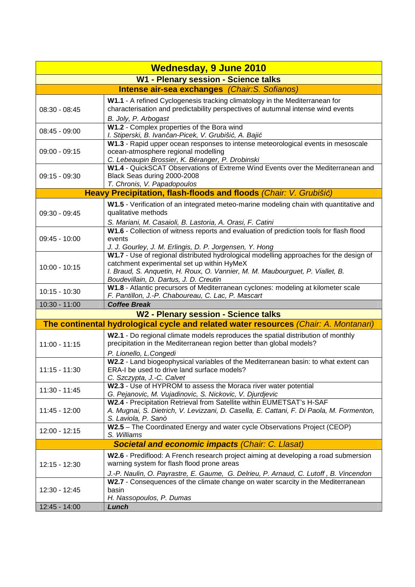| <b>Wednesday, 9 June 2010</b>                  |                                                                                                                                                                                                                                                                 |  |
|------------------------------------------------|-----------------------------------------------------------------------------------------------------------------------------------------------------------------------------------------------------------------------------------------------------------------|--|
| W1 - Plenary session - Science talks           |                                                                                                                                                                                                                                                                 |  |
| Intense air-sea exchanges (Chair: S. Sofianos) |                                                                                                                                                                                                                                                                 |  |
| $08:30 - 08:45$                                | W1.1 - A refined Cyclogenesis tracking climatology in the Mediterranean for<br>characterisation and predictability perspectives of autumnal intense wind events<br>B. Joly, P. Arbogast                                                                         |  |
| $08:45 - 09:00$                                | W1.2 - Complex properties of the Bora wind<br>I. Stiperski, B. Ivančan-Picek, V. Grubišić, A. Bajić                                                                                                                                                             |  |
| 09:00 - 09:15                                  | W1.3 - Rapid upper ocean responses to intense meteorological events in mesoscale<br>ocean-atmosphere regional modelling<br>C. Lebeaupin Brossier, K. Béranger, P. Drobinski                                                                                     |  |
| $09:15 - 09:30$                                | W1.4 - QuickSCAT Observations of Extreme Wind Events over the Mediterranean and<br>Black Seas during 2000-2008<br>T. Chronis, V. Papadopoulos                                                                                                                   |  |
|                                                | Heavy Precipitation, flash-floods and floods (Chair: V. Grubišić)                                                                                                                                                                                               |  |
| 09:30 - 09:45                                  | W1.5 - Verification of an integrated meteo-marine modeling chain with quantitative and<br>qualitative methods<br>S. Mariani, M. Casaioli, B. Lastoria, A. Orasi, F. Catini                                                                                      |  |
| 09:45 - 10:00                                  | W1.6 - Collection of witness reports and evaluation of prediction tools for flash flood<br>events<br>J. J. Gourley, J. M. Erlingis, D. P. Jorgensen, Y. Hong                                                                                                    |  |
| $10:00 - 10:15$                                | W1.7 - Use of regional distributed hydrological modelling approaches for the design of<br>catchment experimental set up within HyMeX<br>I. Braud, S. Anquetin, H. Roux, O. Vannier, M. M. Maubourguet, P. Viallet, B.<br>Boudevillain, D. Dartus, J. D. Creutin |  |
| $10:15 - 10:30$                                | W1.8 - Atlantic precursors of Mediterranean cyclones: modeling at kilometer scale<br>F. Pantillon, J.-P. Chaboureau, C. Lac, P. Mascart                                                                                                                         |  |
| 10:30 - 11:00                                  | <b>Coffee Break</b>                                                                                                                                                                                                                                             |  |
|                                                | <b>W2 - Plenary session - Science talks</b>                                                                                                                                                                                                                     |  |
|                                                | The continental hydrological cycle and related water resources (Chair: A. Montanari)                                                                                                                                                                            |  |
| $11:00 - 11:15$                                | W2.1 - Do regional climate models reproduces the spatial distribution of monthly<br>precipitation in the Mediterranean region better than global models?<br>P. Lionello, L.Congedi                                                                              |  |
| $11:15 - 11:30$                                | W2.2 - Land biogeophysical variables of the Mediterranean basin: to what extent can<br>ERA-I be used to drive land surface models?<br>C. Szczypta, J.-C. Calvet                                                                                                 |  |
| $11:30 - 11:45$                                | W2.3 - Use of HYPROM to assess the Moraca river water potential<br>G. Pejanovic, M. Vujadinovic, S. Nickovic, V. Djurdjevic                                                                                                                                     |  |
| 11:45 - 12:00                                  | W2.4 - Precipitation Retrieval from Satellite within EUMETSAT's H-SAF<br>A. Mugnai, S. Dietrich, V. Levizzani, D. Casella, E. Cattani, F. Di Paola, M. Formenton,<br>S. Laviola, P. Sanò                                                                        |  |
| 12:00 - 12:15                                  | W2.5 - The Coordinated Energy and water cycle Observations Project (CEOP)<br>S. Williams                                                                                                                                                                        |  |
|                                                | <b>Societal and economic impacts (Chair: C. Llasat)</b>                                                                                                                                                                                                         |  |
| 12:15 - 12:30                                  | W2.6 - Prediflood: A French research project aiming at developing a road submersion<br>warning system for flash flood prone areas                                                                                                                               |  |
| 12:30 - 12:45                                  | J.-P. Naulin, O. Payrastre, E. Gaume, G. Delrieu, P. Arnaud, C. Lutoff, B. Vincendon<br>W2.7 - Consequences of the climate change on water scarcity in the Mediterranean<br>basin<br>H. Nassopoulos, P. Dumas                                                   |  |
| 12:45 - 14:00                                  | Lunch                                                                                                                                                                                                                                                           |  |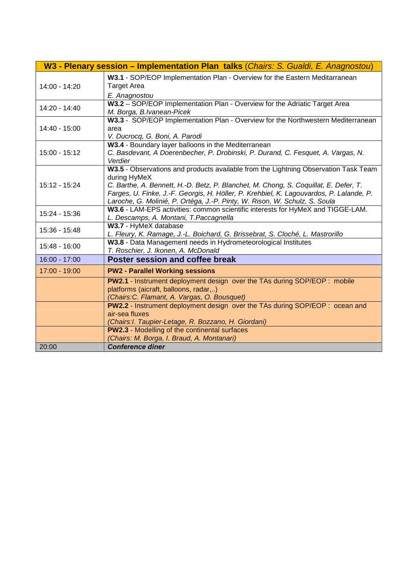|                 | W3 - Plenary session - Implementation Plan talks (Chairs: S. Gualdi, E. Anagnostou)                                                                                                                                                                                                                                                                                  |
|-----------------|----------------------------------------------------------------------------------------------------------------------------------------------------------------------------------------------------------------------------------------------------------------------------------------------------------------------------------------------------------------------|
| 14:00 - 14:20   | W3.1 - SOP/EOP Implementation Plan - Overview for the Eastern Meditarranean<br><b>Target Area</b><br>E. Anagnostou                                                                                                                                                                                                                                                   |
| $14:20 - 14:40$ | W3.2 - SOP/EOP Implementation Plan - Overview for the Adriatic Target Area<br>M. Borga, B.Ivanean-Picek                                                                                                                                                                                                                                                              |
| 14:40 - 15:00   | W3.3 - SOP/EOP Implementation Plan - Overview for the Northwestern Mediterranean<br>area<br>V. Ducrocq, G. Boni, A. Parodi                                                                                                                                                                                                                                           |
| $15:00 - 15:12$ | W3.4 - Boundary layer balloons in the Mediterranean<br>C. Basdevant, A Doerenbecher, P. Drobinski, P. Durand, C. Fesquet, A. Vargas, N.<br>Verdier                                                                                                                                                                                                                   |
| 15:12 - 15:24   | W3.5 - Observations and products available from the Lightning Observation Task Team<br>during HyMeX<br>C. Barthe, A. Bennett, H.-D. Betz, P. Blanchet, M. Chong, S. Coquillat, E. Defer, T.<br>Farges, U. Finke, J.-F. Georgis, H. Höller, P. Krehbiel, K. Lagouvardos, P. Lalande, P.<br>Laroche, G. Molinié, P. Ortéga, J.-P. Pinty, W. Rison, W. Schulz, S. Soula |
| 15:24 - 15:36   | W3.6 - LAM-EPS activities: common scientific interests for HyMeX and TIGGE-LAM.<br>L. Descamps, A. Montani, T. Paccagnella                                                                                                                                                                                                                                           |
| 15:36 - 15:48   | W3.7 - HyMeX database<br>L. Fleury, K. Ramage, J.-L. Boichard, G. Brissebrat, S. Cloché, L. Mastrorillo                                                                                                                                                                                                                                                              |
| 15:48 - 16:00   | W3.8 - Data Management needs in Hydrometeorological Institutes<br>T. Roschier, J. Ikonen, A. McDonald                                                                                                                                                                                                                                                                |
| 16:00 - 17:00   | <b>Poster session and coffee break</b>                                                                                                                                                                                                                                                                                                                               |
| 17:00 - 19:00   | <b>PW2 - Parallel Working sessions</b>                                                                                                                                                                                                                                                                                                                               |
|                 | <b>PW2.1</b> - Instrument deployment design over the TAs during SOP/EOP : mobile<br>platforms (aicraft, balloons, radar,)<br>(Chairs: C. Flamant, A. Vargas, O. Bousquet)                                                                                                                                                                                            |
|                 | PW2.2 - Instrument deployment design over the TAs during SOP/EOP : ocean and<br>air-sea fluxes<br>(Chairs: I. Taupier-Letage, R. Bozzano, H. Giordani)                                                                                                                                                                                                               |
|                 | <b>PW2.3</b> - Modelling of the continental surfaces                                                                                                                                                                                                                                                                                                                 |
|                 | (Chairs: M. Borga, I. Braud, A. Montanari)                                                                                                                                                                                                                                                                                                                           |
| 20:00           | <b>Conference diner</b>                                                                                                                                                                                                                                                                                                                                              |